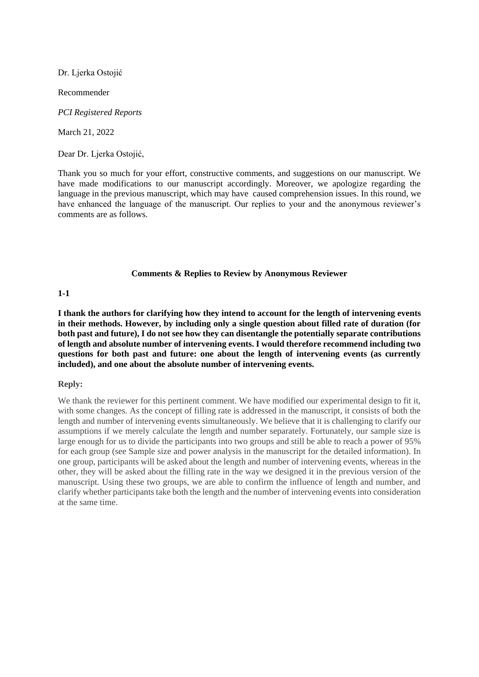Dr. Ljerka Ostojić

Recommender

*PCI Registered Reports*

March 21, 2022

Dear Dr. Ljerka Ostojić,

Thank you so much for your effort, constructive comments, and suggestions on our manuscript. We have made modifications to our manuscript accordingly. Moreover, we apologize regarding the language in the previous manuscript, which may have caused comprehension issues. In this round, we have enhanced the language of the manuscript. Our replies to your and the anonymous reviewer's comments are as follows.

#### **Comments & Replies to Review by Anonymous Reviewer**

## **1-1**

**I thank the authors for clarifying how they intend to account for the length of intervening events in their methods. However, by including only a single question about filled rate of duration (for both past and future), I do not see how they can disentangle the potentially separate contributions of length and absolute number of intervening events. I would therefore recommend including two questions for both past and future: one about the length of intervening events (as currently included), and one about the absolute number of intervening events.**

## **Reply:**

We thank the reviewer for this pertinent comment. We have modified our experimental design to fit it, with some changes. As the concept of filling rate is addressed in the manuscript, it consists of both the length and number of intervening events simultaneously. We believe that it is challenging to clarify our assumptions if we merely calculate the length and number separately. Fortunately, our sample size is large enough for us to divide the participants into two groups and still be able to reach a power of 95% for each group (see Sample size and power analysis in the manuscript for the detailed information). In one group, participants will be asked about the length and number of intervening events, whereas in the other, they will be asked about the filling rate in the way we designed it in the previous version of the manuscript. Using these two groups, we are able to confirm the influence of length and number, and clarify whether participants take both the length and the number of intervening events into consideration at the same time.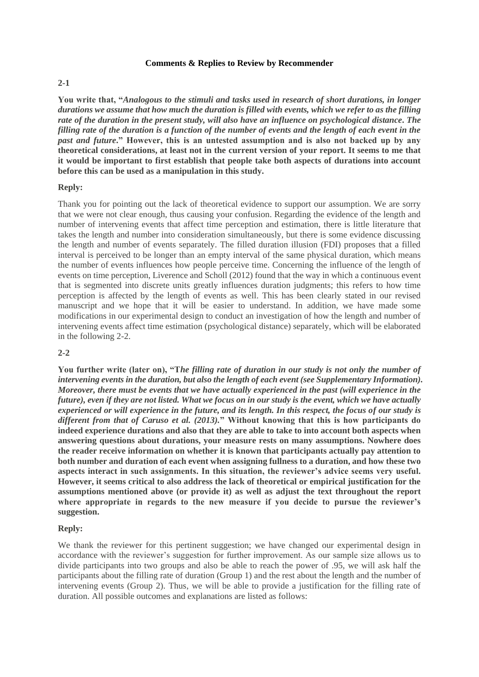#### **Comments & Replies to Review by Recommender**

## **2-1**

**You write that, "***Analogous to the stimuli and tasks used in research of short durations, in longer durations we assume that how much the duration is filled with events, which we refer to as the filling rate of the duration in the present study, will also have an influence on psychological distance***.** *The filling rate of the duration is a function of the number of events and the length of each event in the past and future***." However, this is an untested assumption and is also not backed up by any theoretical considerations, at least not in the current version of your report. It seems to me that it would be important to first establish that people take both aspects of durations into account before this can be used as a manipulation in this study.**

#### **Reply:**

Thank you for pointing out the lack of theoretical evidence to support our assumption. We are sorry that we were not clear enough, thus causing your confusion. Regarding the evidence of the length and number of intervening events that affect time perception and estimation, there is little literature that takes the length and number into consideration simultaneously, but there is some evidence discussing the length and number of events separately. The filled duration illusion (FDI) proposes that a filled interval is perceived to be longer than an empty interval of the same physical duration, which means the number of events influences how people perceive time. Concerning the influence of the length of events on time perception, Liverence and Scholl (2012) found that the way in which a continuous event that is segmented into discrete units greatly influences duration judgments; this refers to how time perception is affected by the length of events as well. This has been clearly stated in our revised manuscript and we hope that it will be easier to understand. In addition, we have made some modifications in our experimental design to conduct an investigation of how the length and number of intervening events affect time estimation (psychological distance) separately, which will be elaborated in the following 2-2.

#### **2-2**

**You further write (later on), "T***he filling rate of duration in our study is not only the number of intervening events in the duration, but also the length of each event (see Supplementary Information). Moreover, there must be events that we have actually experienced in the past (will experience in the future), even if they are not listed. What we focus on in our study is the event, which we have actually experienced or will experience in the future, and its length. In this respect, the focus of our study is different from that of Caruso et al. (2013).***" Without knowing that this is how participants do indeed experience durations and also that they are able to take to into account both aspects when answering questions about durations, your measure rests on many assumptions. Nowhere does the reader receive information on whether it is known that participants actually pay attention to both number and duration of each event when assigning fullness to a duration, and how these two aspects interact in such assignments. In this situation, the reviewer's advice seems very useful. However, it seems critical to also address the lack of theoretical or empirical justification for the assumptions mentioned above (or provide it) as well as adjust the text throughout the report where appropriate in regards to the new measure if you decide to pursue the reviewer's suggestion.**

#### **Reply:**

We thank the reviewer for this pertinent suggestion; we have changed our experimental design in accordance with the reviewer's suggestion for further improvement. As our sample size allows us to divide participants into two groups and also be able to reach the power of .95, we will ask half the participants about the filling rate of duration (Group 1) and the rest about the length and the number of intervening events (Group 2). Thus, we will be able to provide a justification for the filling rate of duration. All possible outcomes and explanations are listed as follows: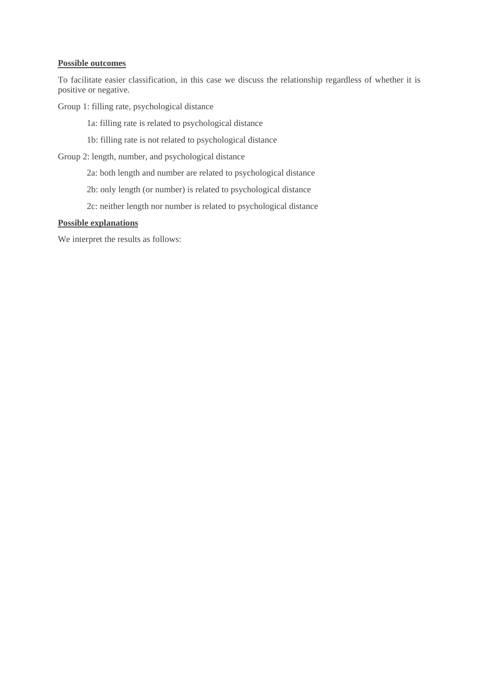# **Possible outcomes**

To facilitate easier classification, in this case we discuss the relationship regardless of whether it is positive or negative.

Group 1: filling rate, psychological distance

1a: filling rate is related to psychological distance

1b: filling rate is not related to psychological distance

Group 2: length, number, and psychological distance

2a: both length and number are related to psychological distance

2b: only length (or number) is related to psychological distance

2c: neither length nor number is related to psychological distance

# **Possible explanations**

We interpret the results as follows: